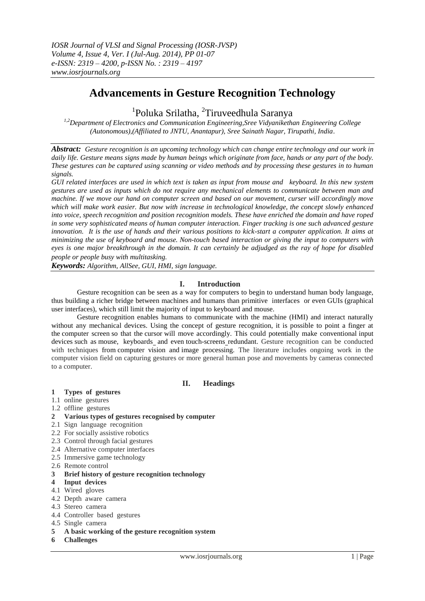# **Advancements in Gesture Recognition Technology**

# <sup>1</sup>Poluka Srilatha, <sup>2</sup>Tiruveedhula Saranya

*1,2Department of Electronics and Communication Engineering,Sree Vidyanikethan Engineering College (Autonomous),(Affiliated to JNTU, Anantapur), Sree Sainath Nagar, Tirupathi, India*.

*Abstract: Gesture recognition is an upcoming technology which can change entire technology and our work in daily life. Gesture means signs made by human beings which originate from face, hands or any part of the body. These gestures can be captured using scanning or video methods and by processing these gestures in to human signals.*

*GUI related interfaces are used in which text is taken as input from mouse and keyboard. In this new system gestures are used as inputs which do not require any mechanical elements to communicate between man and machine. If we move our hand on computer screen and based on our movement, curser will accordingly move which will make work easier. But now with increase in technological knowledge, the concept slowly enhanced into voice, speech recognition and position recognition models. These have enriched the domain and have roped in some very sophisticated means of human computer interaction. Finger tracking is one such advanced gesture*  innovation. It is the use of hands and their various positions to kick-start a computer application. It aims at *minimizing the use of keyboard and mouse. Non-touch based interaction or giving the input to computers with eyes is one major breakthrough in the domain. It can certainly be adjudged as the ray of hope for disabled people or people busy with multitasking.*

*Keywords: Algorithm, AllSee, GUI, HMI, sign language.*

## **I. Introduction**

Gesture recognition can be seen as a way for computers to begin to understand human body language, thus building a richer bridge between machines and humans than primitive interfaces or even GUIs (graphical user interfaces), which still limit the majority of input to keyboard and mouse.

Gesture recognition enables humans to communicate with the machine (HMI) and interact naturally without any mechanical devices. Using the concept of gesture recognition, it is possible to point a finger at the computer screen so that the cursor will move accordingly. This could potentially make conventional input devices such as mouse, keyboards\_and even touch-screens\_redundant. Gesture recognition can be conducted with techniques from computer vision and image processing. The literature includes ongoing work in the computer vision field on capturing gestures or more general human pose and movements by cameras connected to a computer.

## **II. Headings**

#### **1 Types of gestures**

- 1.1 online gestures
- 1.2 offline gestures
- **2 Various types of gestures recognised by computer**
- 2.1 Sign language recognition
- 2.2 For socially assistive robotics
- 2.3 Control through facial gestures
- 2.4 Alternative computer interfaces
- 2.5 Immersive game technology
- 2.6 Remote control
- **3 Brief history of gesture recognition technology**
- **4 Input devices**
- 4.1 Wired gloves
- 4.2 Depth aware camera
- 4.3 Stereo camera
- 4.4 Controller based gestures
- 4.5 Single camera
- **5 A basic working of the gesture recognition system**
- **6 Challenges**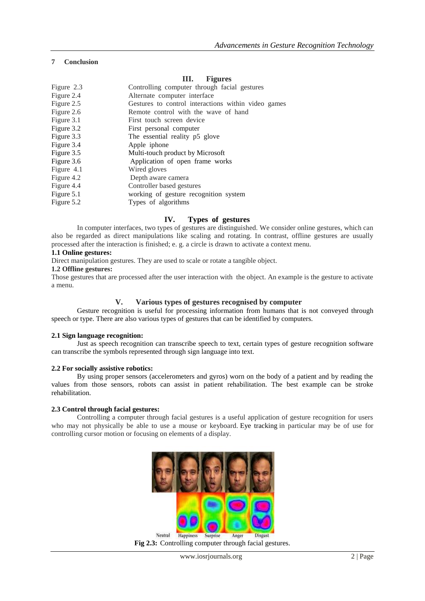## **7 Conclusion**

## **III. Figures**

| Figure 2.3 | Controlling computer through facial gestures        |
|------------|-----------------------------------------------------|
| Figure 2.4 | Alternate computer interface                        |
| Figure 2.5 | Gestures to control interactions within video games |
| Figure 2.6 | Remote control with the wave of hand                |
| Figure 3.1 | First touch screen device                           |
| Figure 3.2 | First personal computer                             |
| Figure 3.3 | The essential reality p5 glove                      |
| Figure 3.4 | Apple iphone                                        |
| Figure 3.5 | Multi-touch product by Microsoft                    |
| Figure 3.6 | Application of open frame works                     |
| Figure 4.1 | Wired gloves                                        |
| Figure 4.2 | Depth aware camera                                  |
| Figure 4.4 | Controller based gestures                           |
| Figure 5.1 | working of gesture recognition system               |
| Figure 5.2 | Types of algorithms                                 |

## **IV. Types of gestures**

In computer interfaces, two types of gestures are distinguished. We consider online gestures, which can also be regarded as direct manipulations like scaling and rotating. In contrast, offline gestures are usually processed after the interaction is finished; e. g. a circle is drawn to activate a context menu.

#### **1.1 Online gestures:**

Direct manipulation gestures. They are used to scale or rotate a tangible object.

# **1.2 Offline gestures:**

Those gestures that are processed after the user interaction with the object. An example is the gesture to activate a menu.

## **V. Various types of gestures recognised by computer**

Gesture recognition is useful for processing information from humans that is not conveyed through speech or type. There are also various types of gestures that can be identified by computers.

## **2.1 Sign language recognition:**

Just as speech recognition can transcribe speech to text, certain types of gesture recognition software can transcribe the symbols represented through sign language into text.

## **2.2 For socially assistive robotics:**

By using proper sensors (accelerometers and gyros) worn on the body of a patient and by reading the values from those sensors, robots can assist in patient rehabilitation. The best example can be stroke rehabilitation.

#### **2.3 Control through facial gestures:**

Controlling a computer through facial gestures is a useful application of gesture recognition for users who may not physically be able to use a mouse or keyboard. Eye tracking in particular may be of use for controlling cursor motion or focusing on elements of a display.



**Fig 2.3:** Controlling computer through facial gestures.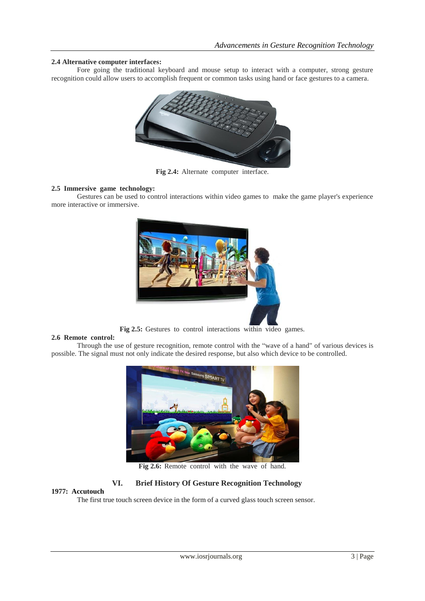## **2.4 Alternative computer interfaces:**

Fore going the traditional keyboard and mouse setup to interact with a computer, strong gesture recognition could allow users to accomplish frequent or common tasks using hand or face gestures to a camera.



**Fig 2.4:** Alternate computer interface.

#### **2.5 Immersive game technology:**

Gestures can be used to control interactions within video games to make the game player's experience more interactive or immersive.



**Fig 2.5:** Gestures to control interactions within video games.

#### **2.6 Remote control:**

Through the use of gesture recognition, remote control with the "wave of a hand" of various devices is possible. The signal must not only indicate the desired response, but also which device to be controlled.



**Fig 2.6:** Remote control with the wave of hand.

# **VI. Brief History Of Gesture Recognition Technology**

#### **1977: Accutouch**

The first true touch screen device in the form of a curved glass touch screen sensor.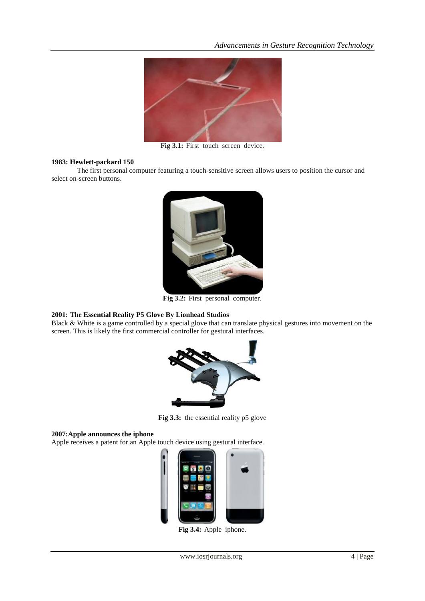

**Fig 3.1:** First touch screen device.

#### **1983: Hewlett-packard 150**

The first personal computer featuring a touch-sensitive screen allows users to position the cursor and select on-screen buttons.



**Fig 3.2:** First personal computer.

## **2001: The Essential Reality P5 Glove By Lionhead Studios**

Black & White is a game controlled by a special glove that can translate physical gestures into movement on the screen. This is likely the first commercial controller for gestural interfaces.



**Fig 3.3:** the essential reality p5 glove

#### **2007:Apple announces the iphone**

Apple receives a patent for an Apple touch device using gestural interface.



**Fig 3.4:** Apple iphone.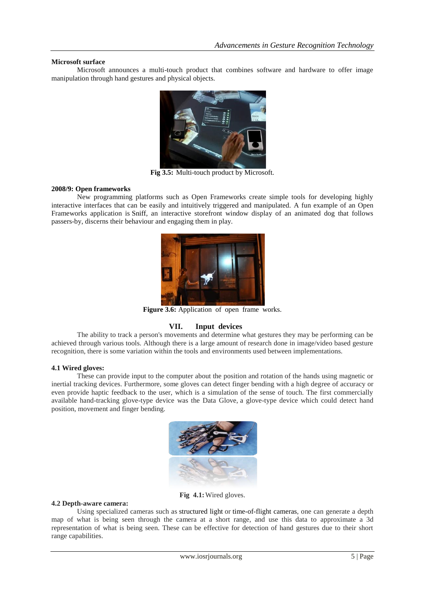#### **Microsoft surface**

Microsoft announces a multi-touch product that combines software and hardware to offer image manipulation through hand gestures and physical objects.



**Fig 3.5:** Multi-touch product by Microsoft.

#### **2008/9: Open frameworks**

New programming platforms such as Open Frameworks create simple tools for developing highly interactive interfaces that can be easily and intuitively triggered and manipulated. A fun example of an Open Frameworks application is Sniff, an interactive storefront window display of an animated dog that follows passers-by, discerns their behaviour and engaging them in play.



**Figure 3.6:** Application of open frame works.

# **VII. Input devices**

The ability to track a person's movements and determine what gestures they may be performing can be achieved through various tools. Although there is a large amount of research done in image/video based gesture recognition, there is some variation within the tools and environments used between implementations.

#### **4.1 Wired gloves:**

These can provide input to the computer about the position and rotation of the hands using magnetic or inertial tracking devices. Furthermore, some gloves can detect finger bending with a high degree of accuracy or even provide haptic feedback to the user, which is a simulation of the sense of touch. The first commercially available hand-tracking glove-type device was the Data Glove, a glove-type device which could detect hand position, movement and finger bending.



**Fig 4.1:**Wired gloves.

#### **4.2 Depth-aware camera:**

Using specialized cameras such as structured light or time-of-flight cameras, one can generate a depth map of what is being seen through the camera at a short range, and use this data to approximate a 3d representation of what is being seen. These can be effective for detection of hand gestures due to their short range capabilities.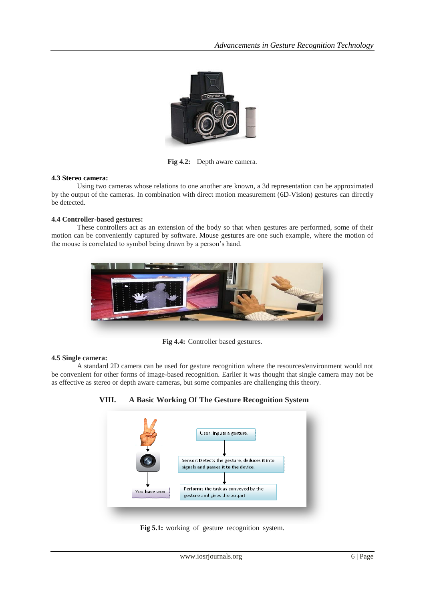

**Fig 4.2:** Depth aware camera.

#### **4.3 Stereo camera:**

Using two cameras whose relations to one another are known, a 3d representation can be approximated by the output of the cameras. In combination with direct motion measurement (6D-Vision) gestures can directly be detected.

## **4.4 Controller-based gestures:**

These controllers act as an extension of the body so that when gestures are performed, some of their motion can be conveniently captured by software. Mouse gestures are one such example, where the motion of the mouse is correlated to symbol being drawn by a person's hand.



**Fig 4.4:** Controller based gestures.

#### **4.5 Single camera:**

A standard 2D camera can be used for gesture recognition where the resources/environment would not be convenient for other forms of image-based recognition. Earlier it was thought that single camera may not be as effective as stereo or depth aware cameras, but some companies are challenging this theory.



**VIII. A Basic Working Of The Gesture Recognition System**

**Fig 5.1:** working of gesture recognition system.